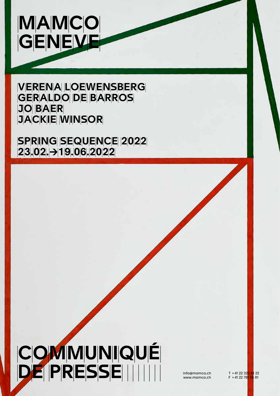

**VERENA LOEWENSBERG GERALDO DE BARROS**  $|J|O||B|A|E|R|$ |J|A|C|K|||E| W|||N|S|O|R|

**SPRING SEQUENCE 2022** |2|3|.|0|2|.|→|1|9|.|0|6|.|2|0|2|2|

# COMMUNIQUÉ �D � E �P �R �E �S �S �§ E  info@mamco.ch

 www.mamco.ch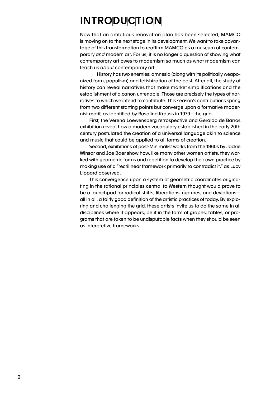# IN TRODUCTION

Now that an ambitious renovation plan has been selected, MAMCO is moving on to the next stage in its development. We want to take advantage of this transformation to reaffirm MAMCO as a museum of contemporary *and* modern art. For us, it is no longer a question of showing what contemporary art owes to modernism so much as what modernism can teach us *about* contemporary art.

 History has two enemies: amnesia (along with its politically weaponized form, populism) and fetishization of the past. After all, the study of history can reveal narratives that make market simplifications and the establishment of a canon untenable. Those are precisely the types of narratives to which we intend to contribute. This season's contributions spring from two different starting points but converge upon a formative modernist motif, as identified by Rosalind Krauss in 1979—the grid.

 First, the Verena Loewensberg retrospective and Geraldo de Barros exhibition reveal how a modern vocabulary established in the early 20th century postulated the creation of a universal language akin to science and music that could be applied to all forms of creation.

 Second, exhibitions of post-Minimalist works from the 1960s by Jackie Winsor and Joe Baer show how, like many other women artists, they worked with geometric forms and repetition to develop their own practice by making use of a "rectilinear framework primarily to contradict it," as Lucy Lippard observed.

 This convergence upon a system of geometric coordinates originating in the rational principles central to Western thought would prove to be a launchpad for radical shifts, liberations, ruptures, and deviations all in all, a fairly good definition of the artistic practices of today. By exploring and challenging the grid, these artists invite us to do the same in all disciplines where it appears, be it in the form of graphs, tables, or programs that are taken to be undisputable facts when they should be seen as interpretive frameworks.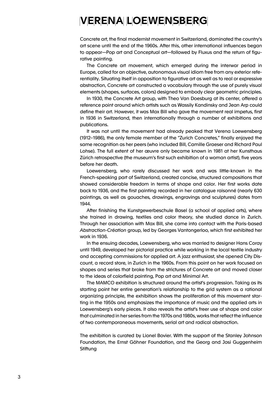### **VERENA LOEWENSBERG**

Concrete art, the final modernist movement in Switzerland, dominated the country's art scene until the end of the 1960s. After this, other international influences began to appear—Pop art and Conceptual art—followed by Fluxus and the return of figurative painting.

 The Concrete art movement, which emerged during the interwar period in Europe, called for an objective, autonomous visual idiom free from any exterior referentiality. Situating itself in opposition to figurative art as well as to real or expressive abstraction, Concrete art constructed a vocabulary through the use of purely visual elements (shapes, surfaces, colors) designed to embody clear geometric principles.

 In 1930, the Concrete Art group, with Theo Van Doesburg at its center, offered a reference point around which artists such as Wassily Kandinsky and Jean Arp could define their art. However, it was Max Bill who gave the movement real impetus, first in 1936 in Switzerland, then internationally through a number of exhibitions and publications.

 It was not until the movement had already peaked that Verena Loewensberg (1912–1986), the only female member of the "Zurich Concretes," finally enjoyed the same recognition as her peers (who included Bill, Camille Graeser and Richard Paul Lohse). The full extent of her œuvre only became known in 1981 at her Kunsthaus Zürich retrospective (the museum's first such exhibition of a woman artist), five years before her death.

 Loewensberg, who rarely discussed her work and was little-known in the French-speaking part of Switzerland, created concise, structured compositions that showed considerable freedom in terms of shape and color. Her first works date back to 1936, and the first painting recorded in her catalogue raisonné (nearly 630 paintings, as well as gouaches, drawings, engravings and sculptures) dates from 1944.

 After finishing the Kunstgewerbeschule Basel (a school of applied arts), where she trained in drawing, textiles and color theory, she studied dance in Zurich. Through her association with Max Bill, she came into contact with the Paris-based *Abstraction-Création* group, led by Georges Vantongerloo, which first exhibited her work in 1936.

 In the ensuing decades, Loewensberg, who was married to designer Hans Coray until 1949, developed her pictorial practice while working in the local textile industry and accepting commissions for applied art. A jazz enthusiast, she opened City Discount, a record store, in Zurich in the 1960s. From this point on her work focused on shapes and series that broke from the strictures of Concrete art and moved closer to the ideas of colorfield painting, Pop art and Minimal Art.

 The MAMCO exhibition is structured around the artist's progression. Taking as its starting point her entire generation's relationship to the grid system as a rational organizing principle, the exhibition shows the proliferation of this movement starting in the 1950s and emphasizes the importance of music and the applied arts in Loewensberg's early pieces. It also reveals the artist's freer use of shape and color that culminated in her series from the 1970s and 1980s, works that reflect the influence of two contemporaneous movements, serial art and radical abstraction.

The exhibition is curated by Lionel Bovier. With the support of the Stanley Johnson Foundation, the Ernst Göhner Foundation, and the Georg and Josi Guggenheim **Stiftung**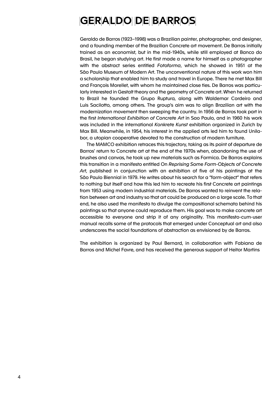## **GERALDO DE BARROS**

Geraldo de Barros (1923–1998) was a Brazilian painter, photographer, and designer, and a founding member of the Brazilian Concrete art movement. De Barros initially trained as an economist, but in the mid-1940s, while still employed at Banco do Brasil, he began studying art. He first made a name for himself as a photographer with the abstract series entitled *Fotoforma*, which he showed in 1951 at the São Paulo Museum of Modern Art. The unconventional nature of this work won him a scholarship that enabled him to study and travel in Europe. There he met Max Bill and François Morellet, with whom he maintained close ties. De Barros was particularly interested in Gestalt theory and the geometry of Concrete art. When he returned to Brazil he founded the Grupo Ruptura, along with Waldemar Cordeiro and Luis Sacilotto, among others. The group's aim was to align Brazilian art with the modernization movement then sweeping the country. In 1956 de Barros took part in the first *International Exhibition of Concrete Art* in Sao Paulo, and in 1960 his work was included in the international *Konkrete Kunst* exhibition organized in Zurich by Max Bill. Meanwhile, in 1954, his interest in the applied arts led him to found Unilabor, a utopian cooperative devoted to the construction of modern furniture.

 The MAMCO exhibition retraces this trajectory, taking as its point of departure de Barros' return to Concrete art at the end of the 1970s when, abandoning the use of brushes and canvas, he took up new materials such as Formica. De Barros explains this transition in a manifesto entitled On *Reprising Some Form-Objects of Concrete Art*, published in conjunction with an exhibition of five of his paintings at the São Paulo Biennial in 1979. He writes about his search for a "form-object" that refers to nothing but itself and how this led him to recreate his first Concrete art paintings from 1953 using modern industrial materials. De Barros wanted to reinvent the relation between art and industry so that art could be produced on a large scale. To that end, he also used the manifesto to divulge the compositional schemata behind his paintings so that anyone could reproduce them. His goal was to make concrete art accessible to everyone and strip it of any originality. This manifesto-cum-user manual recalls some of the protocols that emerged under Conceptual art and also underscores the social foundations of abstraction as envisioned by de Barros.

The exhibition is organized by Paul Bernard, in collaboration with Fabiana de Barros and Michel Favre, and has received the generous support of Heitor Martins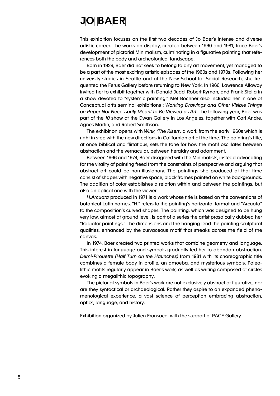#### $|J|O||B|A|E|R|$

This exhibition focuses on the first two decades of Jo Baer's intense and diverse artistic career. The works on display, created between 1960 and 1981, trace Baer's development of pictorial Minimalism, culminating in a figurative painting that references both the body and archeological landscape.

 Born in 1929, Baer did not seek to belong to any art movement, yet managed to be a part of the most exciting artistic episodes of the 1960s and 1970s. Following her university studies in Seattle and at the New School for Social Research, she frequented the Ferus Gallery before returning to New York. In 1966, Lawrence Alloway invited her to exhibit together with Donald Judd, Robert Ryman, and Frank Stella in a show devoted to "systemic painting." Mel Bochner also included her in one of Conceptual art's seminal exhibitions : *Working Drawings and Other Visible Things on Paper Not Necessarily Meant to Be Viewed as Art*. The following year, Baer was part of the *10* show at the Dwan Gallery in Los Angeles, together with Carl Andre, Agnes Martin, and Robert Smithson.

 The exhibition opens with *Wink, 'The Risen',* a work from the early 1960s which is right in step with the new directions in Californian art at the time. The painting's title, at once biblical and flirtatious, sets the tone for how the motif oscillates between abstraction and the vernacular, between heraldry and adornment.

 Between 1966 and 1974, Baer disagreed with the Minimalists, instead advocating for the vitality of painting freed from the constraints of perspective and arguing that abstract art could be non-illusionary. The paintings she produced at that time consist of shapes with negative space, black frames painted on white backgrounds. The addition of color establishes a relation within and between the paintings, but also an optical one with the viewer.

*H.Arcuata* produced in 1971 is a work whose title is based on the conventions of botanical Latin names. "H." refers to the painting's horizontal format and "Arcuata" to the composition's curved shapes. The painting, which was designed to be hung very low, almost at ground level, is part of a series the artist prosaically dubbed her "Radiator paintings." The dimensions and the hanging lend the painting sculptural qualities, enhanced by the curvaceous motif that streaks across the field of the canvas.

 In 1974, Baer created two printed works that combine geometry and language. This interest in language and symbols gradually led her to abandon abstraction. *Demi-Pirouette (Half Turn on the Haunches)* from 1981 with its choreographic title combines a female body in profile, an amoeba, and mysterious symbols. Paleolithic motifs regularly appear in Baer's work, as well as writing composed of circles evoking a megalithic topography.

 The pictorial symbols in Baer's work are not exclusively abstract or figurative, nor are they syntactical or archaeological. Rather they aspire to an expanded phenomenological experience, a vast science of perception embracing abstraction, optics, language, and history.

Exhibition organized by Julien Fronsacq, with the support of PACE Gallery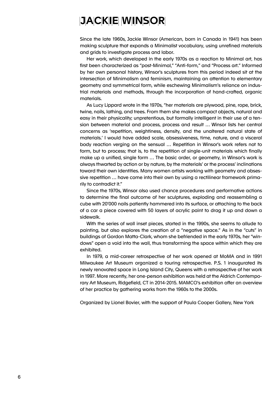#### $J$  ACK I E WINSOR

Since the late 1960s, Jackie Winsor (American, born in Canada in 1941) has been making sculpture that expands a Minimalist vocabulary, using unrefined materials and grids to investigate process and labor.

 Her work, which developed in the early 1970s as a reaction to Minimal art, has first been characterized as "post-Minimal," "Anti-form," and "Process art." Informed by her own personal history, Winsor's sculptures from this period indeed sit at the intersection of Minimalism and feminism, maintaining an attention to elementary geometry and symmetrical form, while eschewing Minimalism's reliance on industrial materials and methods, through the incorporation of hand-crafted, organic materials.

 As Lucy Lippard wrote in the 1970s, "her materials are plywood, pine, rope, brick, twine, nails, lathing, and trees. From them she makes compact objects, natural and easy in their physicality; unpretentious, but formally intelligent in their use of a tension between material and process, process and result … Winsor lists her central concerns as 'repetition, weightiness, density, and the unaltered natural state of materials.' I would have added scale, obsessiveness, time, nature, and a visceral body reaction verging on the sensual … Repetition in Winsor's work refers not to form, but to process; that is, to the repetition of single-unit materials which finally make up a unified, single form … The basic order, or geometry, in Winsor's work is always thwarted by action or by nature, by the materials' or the process' inclinations toward their own identities. Many women artists working with geometry and obsessive repetition … have come into their own by using a rectilinear framework primarily to contradict it."

 Since the 1970s, Winsor also used chance procedures and performative actions to determine the final outcome of her sculptures, exploding and reassembling a cube with 20'000 nails patiently hammered into its surface, or attaching to the back of a car a piece covered with 50 layers of acrylic paint to drag it up and down a sidewalk.

 With the series of wall inset pieces, started in the 1990s, she seems to allude to painting, but also explores the creation of a "negative space." As in the "cuts" in buildings of Gordon Matta-Clark, whom she befriended in the early 1970s, her "windows" open a void into the wall, thus transforming the space within which they are exhibited.

 In 1979, a mid-career retrospective of her work opened at MoMA and in 1991 Milwaukee Art Museum organized a touring retrospective. P.S. 1 inaugurated its newly renovated space in Long Island City, Queens with a retrospective of her work in 1997. More recently, her one-person exhibition was held at the Aldrich Contemporary Art Museum, Ridgefield, CT in 2014-2015. MAMCO's exhibition offer an overview of her practice by gathering works from the 1960s to the 2000s.

Organized by Lionel Bovier, with the support of Paula Cooper Gallery, New York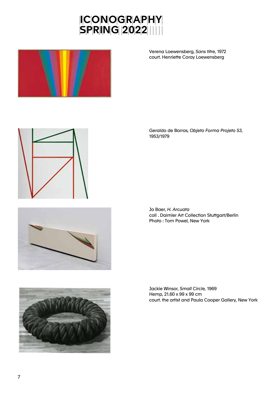



Verena Loewensberg, *Sans titre*, 1972 court. Henriette Coray Loewensberg 







Geraldo de Barros, *Objeto Forma Projeto 53*, 1953/1979

Jo Baer, *H. Arcuata* coll . Daimler Art Collection Stuttgart/Berlin Photo : Tom Powel, New York

Jackie Winsor, *Small Circle,* 1969 Hemp, 21.60 x 99 x 99 cm court. the artist and Paula Cooper Gallery, New York